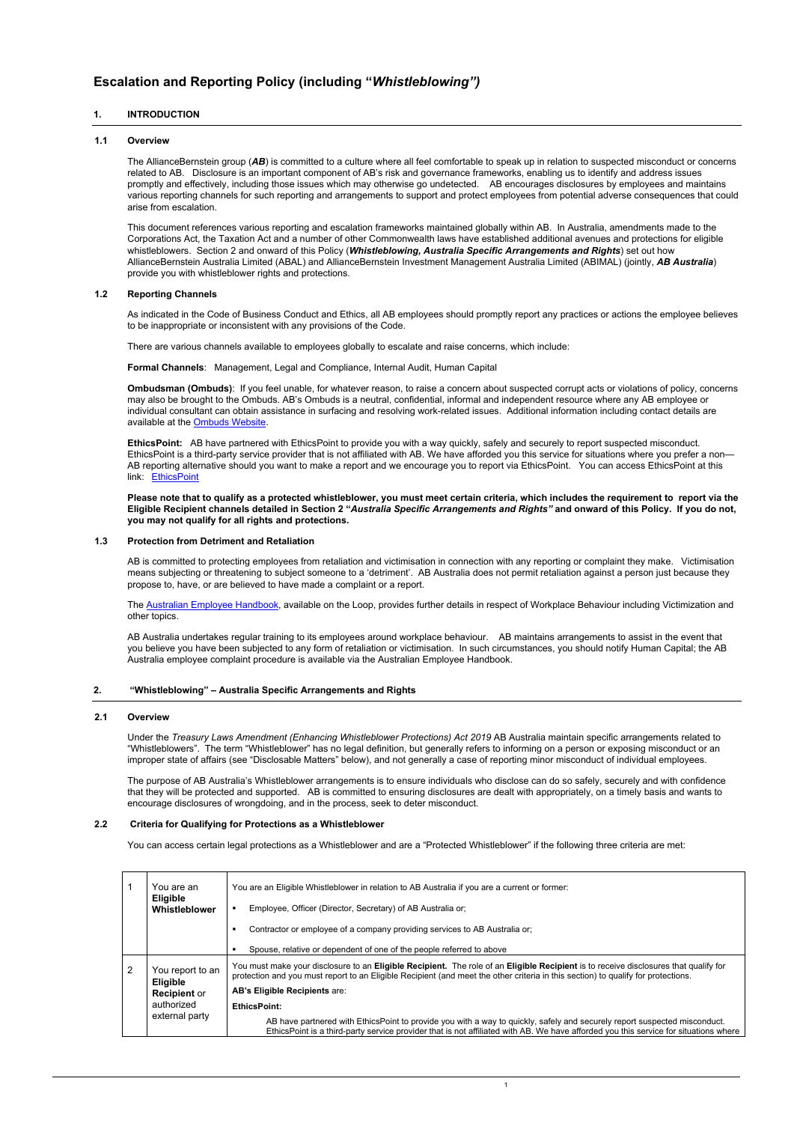# **Escalation and Reporting Policy (including "***Whistleblowing")*

## **1. INTRODUCTION**

## **1.1 Overview**

The AllianceBernstein group (*AB*) is committed to a culture where all feel comfortable to speak up in relation to suspected misconduct or concerns related to AB. Disclosure is an important component of AB's risk and governance frameworks, enabling us to identify and address issues promptly and effectively, including those issues which may otherwise go undetected. AB encourages disclosures by employees and maintains various reporting channels for such reporting and arrangements to support and protect employees from potential adverse consequences that could arise from escalation.

This document references various reporting and escalation frameworks maintained globally within AB. In Australia, amendments made to the Corporations Act, the Taxation Act and a number of other Commonwealth laws have established additional avenues and protections for eligible whistleblowers. Section 2 and onward of this Policy (*Whistleblowing, Australia Specific Arrangements and Rights*) set out how AllianceBernstein Australia Limited (ABAL) and AllianceBernstein Investment Management Australia Limited (ABIMAL) (jointly, *AB Australia*) provide you with whistleblower rights and protections.

**EthicsPoint:** AB have partnered with EthicsPoint to provide you with a way quickly, safely and securely to report suspected misconduct. EthicsPoint is a third-party service provider that is not affiliated with AB. We have afforded you this service for situations where you prefer a non— AB reporting alternative should you want to make a report and we encourage you to report via EthicsPoint. You can access EthicsPoint at this link: [EthicsPoint](https://secure.ethicspoint.com/domain/media/en/gui/44414/index.html)

## **1.2 Reporting Channels**

As indicated in the Code of Business Conduct and Ethics, all AB employees should promptly report any practices or actions the employee believes to be inappropriate or inconsistent with any provisions of the Code.

There are various channels available to employees globally to escalate and raise concerns, which include:

**Formal Channels**: Management, Legal and Compliance, Internal Audit, Human Capital

**Ombudsman (Ombuds)**: If you feel unable, for whatever reason, to raise a concern about suspected corrupt acts or violations of policy, concerns may also be brought to the Ombuds. AB's Ombuds is a neutral, confidential, informal and independent resource where any AB employee or individual consultant can obtain assistance in surfacing and resolving work-related issues. Additional information including contact details are available at the [Ombuds Website.](https://alliancebernstein.interactgo.com/Interact/Pages/Content/Document.aspx?id=2080)

**Please note that to qualify as a protected whistleblower, you must meet certain criteria, which includes the requirement to report via the Eligible Recipient channels detailed in Section 2 "***Australia Specific Arrangements and Rights"* **and onward of this Policy. If you do not, you may not qualify for all rights and protections.**

## **1.3 Protection from Detriment and Retaliation**

AB is committed to protecting employees from retaliation and victimisation in connection with any reporting or complaint they make. Victimisation means subjecting or threatening to subject someone to a 'detriment'. AB Australia does not permit retaliation against a person just because they propose to, have, or are believed to have made a complaint or a report.

The [Australian Employee Handbook,](https://alliancebernstein.interactgo.com/Interact/Pages/Content/Document.aspx?id=3744) available on the Loop, provides further details in respect of Workplace Behaviour including Victimization and other topics.

AB Australia undertakes regular training to its employees around workplace behaviour. AB maintains arrangements to assist in the event that you believe you have been subjected to any form of retaliation or victimisation. In such circumstances, you should notify Human Capital; the AB Australia employee complaint procedure is available via the Australian Employee Handbook.

## **2. "Whistleblowing" – Australia Specific Arrangements and Rights**

## **2.1 Overview**

Under the *Treasury Laws Amendment (Enhancing Whistleblower Protections) Act 2019* AB Australia maintain specific arrangements related to "Whistleblowers". The term "Whistleblower" has no legal definition, but generally refers to informing on a person or exposing misconduct or an improper state of affairs (see "Disclosable Matters" below), and not generally a case of reporting minor misconduct of individual employees.

The purpose of AB Australia's Whistleblower arrangements is to ensure individuals who disclose can do so safely, securely and with confidence that they will be protected and supported. AB is committed to ensuring disclosures are dealt with appropriately, on a timely basis and wants to encourage disclosures of wrongdoing, and in the process, seek to deter misconduct.

## **2.2 Criteria for Qualifying for Protections as a Whistleblower**

You can access certain legal protections as a Whistleblower and are a "Protected Whistleblower" if the following three criteria are met:

|   | You are an<br><b>Eligible</b><br>Whistleblower                                             | You are an Eligible Whistleblower in relation to AB Australia if you are a current or former:<br>Employee, Officer (Director, Secretary) of AB Australia or:<br>Contractor or employee of a company providing services to AB Australia or;                                                                 |
|---|--------------------------------------------------------------------------------------------|------------------------------------------------------------------------------------------------------------------------------------------------------------------------------------------------------------------------------------------------------------------------------------------------------------|
|   |                                                                                            | Spouse, relative or dependent of one of the people referred to above                                                                                                                                                                                                                                       |
| 2 | You report to an<br><b>Eligible</b><br><b>Recipient or</b><br>authorized<br>external party | You must make your disclosure to an Eligible Recipient. The role of an Eligible Recipient is to receive disclosures that qualify for<br>protection and you must report to an Eligible Recipient (and meet the other criteria in this section) to qualify for protections.<br>AB's Eligible Recipients are: |
|   |                                                                                            | <b>EthicsPoint:</b><br>AB have partnered with EthicsPoint to provide you with a way to quickly, safely and securely report suspected misconduct.<br>EthicsPoint is a third-party service provider that is not affiliated with AB. We have afforded you this service for situations where                   |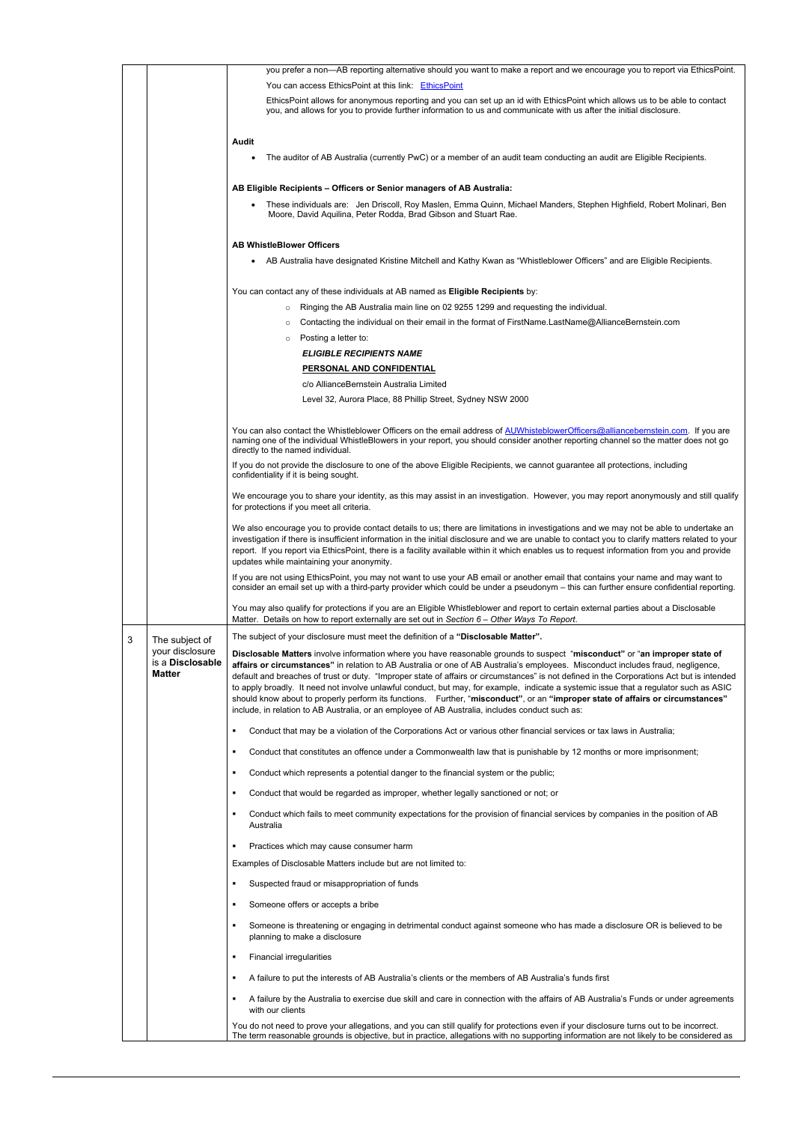|   |                                                                        | you prefer a non-AB reporting alternative should you want to make a report and we encourage you to report via EthicsPoint.                                                                                                                                                                                                                                                                                                                                                                                                                                                                                                                                                                                                                                                                 |  |  |
|---|------------------------------------------------------------------------|--------------------------------------------------------------------------------------------------------------------------------------------------------------------------------------------------------------------------------------------------------------------------------------------------------------------------------------------------------------------------------------------------------------------------------------------------------------------------------------------------------------------------------------------------------------------------------------------------------------------------------------------------------------------------------------------------------------------------------------------------------------------------------------------|--|--|
|   |                                                                        | You can access EthicsPoint at this link: EthicsPoint                                                                                                                                                                                                                                                                                                                                                                                                                                                                                                                                                                                                                                                                                                                                       |  |  |
|   |                                                                        | EthicsPoint allows for anonymous reporting and you can set up an id with EthicsPoint which allows us to be able to contact<br>you, and allows for you to provide further information to us and communicate with us after the initial disclosure.                                                                                                                                                                                                                                                                                                                                                                                                                                                                                                                                           |  |  |
|   |                                                                        |                                                                                                                                                                                                                                                                                                                                                                                                                                                                                                                                                                                                                                                                                                                                                                                            |  |  |
|   |                                                                        | <b>Audit</b>                                                                                                                                                                                                                                                                                                                                                                                                                                                                                                                                                                                                                                                                                                                                                                               |  |  |
|   |                                                                        | The auditor of AB Australia (currently PwC) or a member of an audit team conducting an audit are Eligible Recipients.<br>$\bullet$                                                                                                                                                                                                                                                                                                                                                                                                                                                                                                                                                                                                                                                         |  |  |
|   |                                                                        | AB Eligible Recipients - Officers or Senior managers of AB Australia:                                                                                                                                                                                                                                                                                                                                                                                                                                                                                                                                                                                                                                                                                                                      |  |  |
|   |                                                                        | These individuals are: Jen Driscoll, Roy Maslen, Emma Quinn, Michael Manders, Stephen Highfield, Robert Molinari, Ben<br>$\bullet$<br>Moore, David Aquilina, Peter Rodda, Brad Gibson and Stuart Rae.                                                                                                                                                                                                                                                                                                                                                                                                                                                                                                                                                                                      |  |  |
|   |                                                                        | <b>AB WhistleBlower Officers</b>                                                                                                                                                                                                                                                                                                                                                                                                                                                                                                                                                                                                                                                                                                                                                           |  |  |
|   |                                                                        | • AB Australia have designated Kristine Mitchell and Kathy Kwan as "Whistleblower Officers" and are Eligible Recipients.                                                                                                                                                                                                                                                                                                                                                                                                                                                                                                                                                                                                                                                                   |  |  |
|   |                                                                        | You can contact any of these individuals at AB named as Eligible Recipients by:                                                                                                                                                                                                                                                                                                                                                                                                                                                                                                                                                                                                                                                                                                            |  |  |
|   |                                                                        | Ringing the AB Australia main line on 02 9255 1299 and requesting the individual.<br>$\circ$                                                                                                                                                                                                                                                                                                                                                                                                                                                                                                                                                                                                                                                                                               |  |  |
|   |                                                                        | Contacting the individual on their email in the format of FirstName.LastName@AllianceBernstein.com<br>$\circ$                                                                                                                                                                                                                                                                                                                                                                                                                                                                                                                                                                                                                                                                              |  |  |
|   |                                                                        | Posting a letter to:<br>$\circ$                                                                                                                                                                                                                                                                                                                                                                                                                                                                                                                                                                                                                                                                                                                                                            |  |  |
|   |                                                                        | <b>ELIGIBLE RECIPIENTS NAME</b>                                                                                                                                                                                                                                                                                                                                                                                                                                                                                                                                                                                                                                                                                                                                                            |  |  |
|   |                                                                        | PERSONAL AND CONFIDENTIAL                                                                                                                                                                                                                                                                                                                                                                                                                                                                                                                                                                                                                                                                                                                                                                  |  |  |
|   |                                                                        | c/o AllianceBernstein Australia Limited                                                                                                                                                                                                                                                                                                                                                                                                                                                                                                                                                                                                                                                                                                                                                    |  |  |
|   |                                                                        | Level 32, Aurora Place, 88 Phillip Street, Sydney NSW 2000                                                                                                                                                                                                                                                                                                                                                                                                                                                                                                                                                                                                                                                                                                                                 |  |  |
|   |                                                                        | You can also contact the Whistleblower Officers on the email address of AUWhisteblowerOfficers@alliancebernstein.com. If you are<br>naming one of the individual WhistleBlowers in your report, you should consider another reporting channel so the matter does not go<br>directly to the named individual.                                                                                                                                                                                                                                                                                                                                                                                                                                                                               |  |  |
|   |                                                                        | If you do not provide the disclosure to one of the above Eligible Recipients, we cannot guarantee all protections, including<br>confidentiality if it is being sought.                                                                                                                                                                                                                                                                                                                                                                                                                                                                                                                                                                                                                     |  |  |
|   |                                                                        | We encourage you to share your identity, as this may assist in an investigation. However, you may report anonymously and still qualify<br>for protections if you meet all criteria.                                                                                                                                                                                                                                                                                                                                                                                                                                                                                                                                                                                                        |  |  |
|   |                                                                        | We also encourage you to provide contact details to us; there are limitations in investigations and we may not be able to undertake an<br>investigation if there is insufficient information in the initial disclosure and we are unable to contact you to clarify matters related to your<br>report. If you report via EthicsPoint, there is a facility available within it which enables us to request information from you and provide<br>updates while maintaining your anonymity.                                                                                                                                                                                                                                                                                                     |  |  |
|   |                                                                        | If you are not using EthicsPoint, you may not want to use your AB email or another email that contains your name and may want to<br>consider an email set up with a third-party provider which could be under a pseudonym - this can further ensure confidential reporting.                                                                                                                                                                                                                                                                                                                                                                                                                                                                                                                |  |  |
|   |                                                                        | You may also qualify for protections if you are an Eligible Whistleblower and report to certain external parties about a Disclosable<br>Matter. Details on how to report externally are set out in Section 6 - Other Ways To Report.                                                                                                                                                                                                                                                                                                                                                                                                                                                                                                                                                       |  |  |
| 3 | The subject of<br>your disclosure<br>is a Disclosable<br><b>Matter</b> | The subject of your disclosure must meet the definition of a "Disclosable Matter".                                                                                                                                                                                                                                                                                                                                                                                                                                                                                                                                                                                                                                                                                                         |  |  |
|   |                                                                        | Disclosable Matters involve information where you have reasonable grounds to suspect "misconduct" or "an improper state of<br>affairs or circumstances" in relation to AB Australia or one of AB Australia's employees. Misconduct includes fraud, negligence,<br>default and breaches of trust or duty. "Improper state of affairs or circumstances" is not defined in the Corporations Act but is intended<br>to apply broadly. It need not involve unlawful conduct, but may, for example, indicate a systemic issue that a regulator such as ASIC<br>should know about to properly perform its functions. Further, "misconduct", or an "improper state of affairs or circumstances"<br>include, in relation to AB Australia, or an employee of AB Australia, includes conduct such as: |  |  |
|   |                                                                        | Conduct that may be a violation of the Corporations Act or various other financial services or tax laws in Australia;<br>٠                                                                                                                                                                                                                                                                                                                                                                                                                                                                                                                                                                                                                                                                 |  |  |
|   |                                                                        | Conduct that constitutes an offence under a Commonwealth law that is punishable by 12 months or more imprisonment;<br>٠                                                                                                                                                                                                                                                                                                                                                                                                                                                                                                                                                                                                                                                                    |  |  |
|   |                                                                        | Conduct which represents a potential danger to the financial system or the public;<br>٠                                                                                                                                                                                                                                                                                                                                                                                                                                                                                                                                                                                                                                                                                                    |  |  |
|   |                                                                        | Conduct that would be regarded as improper, whether legally sanctioned or not; or<br>٠                                                                                                                                                                                                                                                                                                                                                                                                                                                                                                                                                                                                                                                                                                     |  |  |
|   |                                                                        | Conduct which fails to meet community expectations for the provision of financial services by companies in the position of AB<br>٠<br>Australia                                                                                                                                                                                                                                                                                                                                                                                                                                                                                                                                                                                                                                            |  |  |
|   |                                                                        | Practices which may cause consumer harm                                                                                                                                                                                                                                                                                                                                                                                                                                                                                                                                                                                                                                                                                                                                                    |  |  |

Examples of Disclosable Matters include but are not limited to:

- Suspected fraud or misappropriation of funds
- Someone offers or accepts a bribe
- Someone is threatening or engaging in detrimental conduct against someone who has made a disclosure OR is believed to be planning to make a disclosure
- **Financial irregularities**
- A failure to put the interests of AB Australia's clients or the members of AB Australia's funds first
- A failure by the Australia to exercise due skill and care in connection with the affairs of AB Australia's Funds or under agreements with our clients

You do not need to prove your allegations, and you can still qualify for protections even if your disclosure turns out to be incorrect. The term reasonable grounds is objective, but in practice, allegations with no supporting information are not likely to be considered as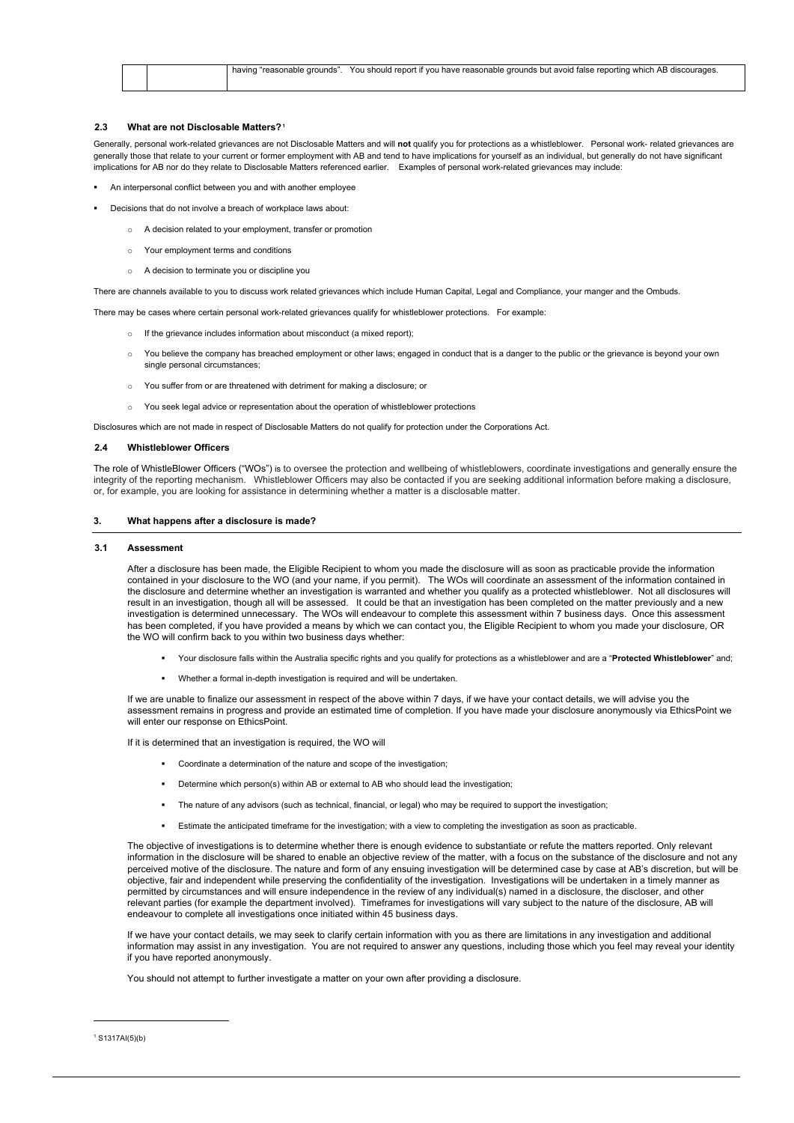|  | having<br>'reasonable grounds' | u have reasonable grounds but avoid false reporting which_<br>You should report if you<br>discourages<br>h AB |
|--|--------------------------------|---------------------------------------------------------------------------------------------------------------|
|  |                                |                                                                                                               |

## **2.3 What are not Disclosable Matters?**0F **1**

- An interpersonal conflict between you and with another employee
- Decisions that do not involve a breach of workplace laws about:
	- o A decision related to your employment, transfer or promotion
	- o Your employment terms and conditions
	- A decision to terminate you or discipline you

Generally, personal work-related grievances are not Disclosable Matters and will **not** qualify you for protections as a whistleblower. Personal work- related grievances are generally those that relate to your current or former employment with AB and tend to have implications for yourself as an individual, but generally do not have significant implications for AB nor do they relate to Disclosable Matters referenced earlier. Examples of personal work-related grievances may include:

- o If the grievance includes information about misconduct (a mixed report);
- You believe the company has breached employment or other laws; engaged in conduct that is a danger to the public or the grievance is beyond your own single personal circumstances;
- o You suffer from or are threatened with detriment for making a disclosure; or
- You seek legal advice or representation about the operation of whistleblower protections

There are channels available to you to discuss work related grievances which include Human Capital, Legal and Compliance, your manger and the Ombuds.

There may be cases where certain personal work-related grievances qualify for whistleblower protections. For example:

Disclosures which are not made in respect of Disclosable Matters do not qualify for protection under the Corporations Act.

## **2.4 Whistleblower Officers**

The role of WhistleBlower Officers ("WOs") is to oversee the protection and wellbeing of whistleblowers, coordinate investigations and generally ensure the integrity of the reporting mechanism. Whistleblower Officers may also be contacted if you are seeking additional information before making a disclosure, or, for example, you are looking for assistance in determining whether a matter is a disclosable matter.

## **3. What happens after a disclosure is made?**

#### **3.1 Assessment**

After a disclosure has been made, the Eligible Recipient to whom you made the disclosure will as soon as practicable provide the information contained in your disclosure to the WO (and your name, if you permit). The WOs will coordinate an assessment of the information contained in the disclosure and determine whether an investigation is warranted and whether you qualify as a protected whistleblower. Not all disclosures will result in an investigation, though all will be assessed. It could be that an investigation has been completed on the matter previously and a new investigation is determined unnecessary. The WOs will endeavour to complete this assessment within 7 business days. Once this assessment has been completed, if you have provided a means by which we can contact you, the Eligible Recipient to whom you made your disclosure, OR the WO will confirm back to you within two business days whether:

- Your disclosure falls within the Australia specific rights and you qualify for protections as a whistleblower and are a "**Protected Whistleblower**" and;
- Whether a formal in-depth investigation is required and will be undertaken.

If we are unable to finalize our assessment in respect of the above within 7 days, if we have your contact details, we will advise you the assessment remains in progress and provide an estimated time of completion. If you have made your disclosure anonymously via EthicsPoint we will enter our response on EthicsPoint.

If it is determined that an investigation is required, the WO will

- Coordinate a determination of the nature and scope of the investigation;
- Determine which person(s) within AB or external to AB who should lead the investigation;
- The nature of any advisors (such as technical, financial, or legal) who may be required to support the investigation;
- Estimate the anticipated timeframe for the investigation; with a view to completing the investigation as soon as practicable.

The objective of investigations is to determine whether there is enough evidence to substantiate or refute the matters reported. Only relevant information in the disclosure will be shared to enable an objective review of the matter, with a focus on the substance of the disclosure and not any perceived motive of the disclosure. The nature and form of any ensuing investigation will be determined case by case at AB's discretion, but will be objective, fair and independent while preserving the confidentiality of the investigation. Investigations will be undertaken in a timely manner as permitted by circumstances and will ensure independence in the review of any individual(s) named in a disclosure, the discloser, and other relevant parties (for example the department involved). Timeframes for investigations will vary subject to the nature of the disclosure, AB will endeavour to complete all investigations once initiated within 45 business days.

If we have your contact details, we may seek to clarify certain information with you as there are limitations in any investigation and additional information may assist in any investigation. You are not required to answer any questions, including those which you feel may reveal your identity if you have reported anonymously.

You should not attempt to further investigate a matter on your own after providing a disclosure.

 $1$  S1317AI(5)(b)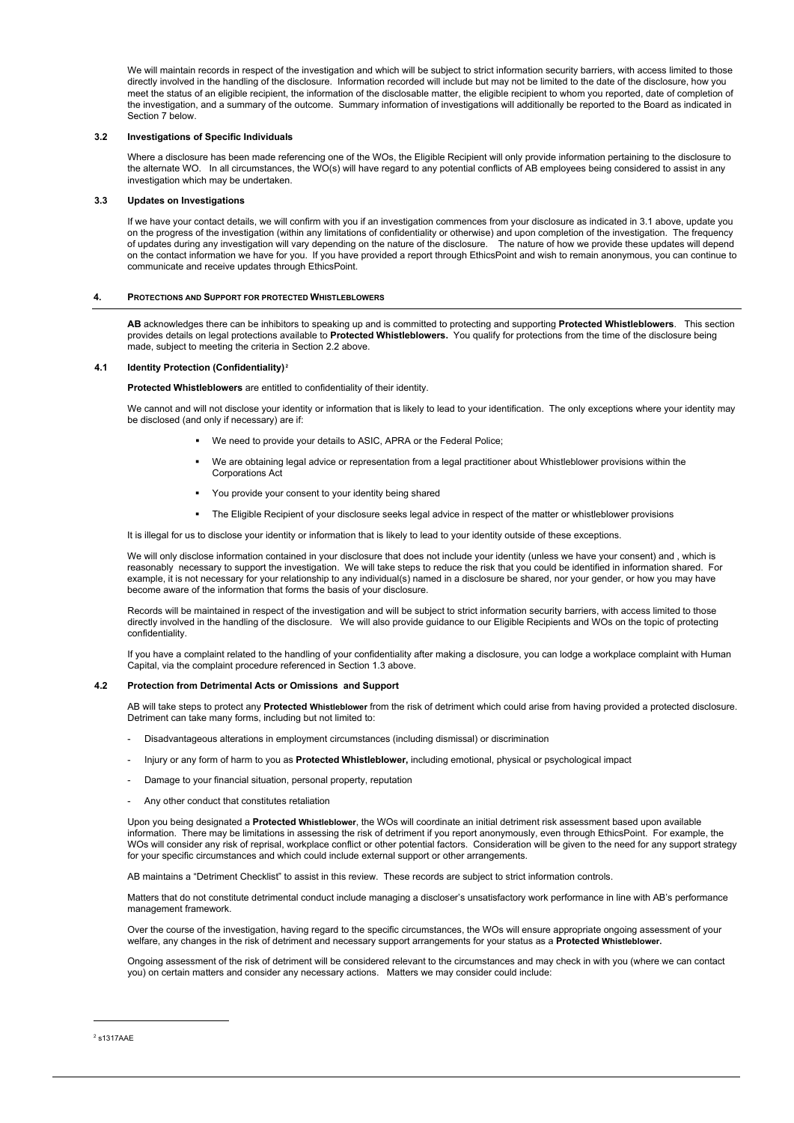We will maintain records in respect of the investigation and which will be subject to strict information security barriers, with access limited to those directly involved in the handling of the disclosure. Information recorded will include but may not be limited to the date of the disclosure, how you meet the status of an eligible recipient, the information of the disclosable matter, the eligible recipient to whom you reported, date of completion of the investigation, and a summary of the outcome. Summary information of investigations will additionally be reported to the Board as indicated in Section 7 below.

## **3.2 Investigations of Specific Individuals**

Where a disclosure has been made referencing one of the WOs, the Eligible Recipient will only provide information pertaining to the disclosure to the alternate WO. In all circumstances, the WO(s) will have regard to any potential conflicts of AB employees being considered to assist in any investigation which may be undertaken.

## **3.3 Updates on Investigations**

If we have your contact details, we will confirm with you if an investigation commences from your disclosure as indicated in 3.1 above, update you on the progress of the investigation (within any limitations of confidentiality or otherwise) and upon completion of the investigation. The frequency of updates during any investigation will vary depending on the nature of the disclosure. The nature of how we provide these updates will depend on the contact information we have for you. If you have provided a report through EthicsPoint and wish to remain anonymous, you can continue to communicate and receive updates through EthicsPoint.

- **We need to provide your details to ASIC, APRA or the Federal Police;**
- We are obtaining legal advice or representation from a legal practitioner about Whistleblower provisions within the Corporations Act
- You provide your consent to your identity being shared
- The Eligible Recipient of your disclosure seeks legal advice in respect of the matter or whistleblower provisions

## **4. PROTECTIONS AND SUPPORT FOR PROTECTED WHISTLEBLOWERS**

**AB** acknowledges there can be inhibitors to speaking up and is committed to protecting and supporting **Protected Whistleblowers**. This section provides details on legal protections available to **Protected Whistleblowers.** You qualify for protections from the time of the disclosure being made, subject to meeting the criteria in Section 2.2 above.

## **4.1** Identity Protection (Confidentiality)<sup>2</sup>

- Disadvantageous alterations in employment circumstances (including dismissal) or discrimination
- Injury or any form of harm to you as **Protected Whistleblower,** including emotional, physical or psychological impact
- Damage to your financial situation, personal property, reputation
- Any other conduct that constitutes retaliation

**Protected Whistleblowers** are entitled to confidentiality of their identity.

We cannot and will not disclose your identity or information that is likely to lead to your identification. The only exceptions where your identity may be disclosed (and only if necessary) are if:

It is illegal for us to disclose your identity or information that is likely to lead to your identity outside of these exceptions.

We will only disclose information contained in your disclosure that does not include your identity (unless we have your consent) and , which is reasonably necessary to support the investigation. We will take steps to reduce the risk that you could be identified in information shared. For example, it is not necessary for your relationship to any individual(s) named in a disclosure be shared, nor your gender, or how you may have become aware of the information that forms the basis of your disclosure.

Records will be maintained in respect of the investigation and will be subject to strict information security barriers, with access limited to those directly involved in the handling of the disclosure. We will also provide guidance to our Eligible Recipients and WOs on the topic of protecting confidentiality.

If you have a complaint related to the handling of your confidentiality after making a disclosure, you can lodge a workplace complaint with Human Capital, via the complaint procedure referenced in Section 1.3 above.

## **4.2 Protection from Detrimental Acts or Omissions and Support**

AB will take steps to protect any **Protected Whistleblower** from the risk of detriment which could arise from having provided a protected disclosure. Detriment can take many forms, including but not limited to:

Upon you being designated a **Protected Whistleblower**, the WOs will coordinate an initial detriment risk assessment based upon available information. There may be limitations in assessing the risk of detriment if you report anonymously, even through EthicsPoint. For example, the WOs will consider any risk of reprisal, workplace conflict or other potential factors. Consideration will be given to the need for any support strategy

for your specific circumstances and which could include external support or other arrangements.

AB maintains a "Detriment Checklist" to assist in this review. These records are subject to strict information controls.

Matters that do not constitute detrimental conduct include managing a discloser's unsatisfactory work performance in line with AB's performance management framework.

Over the course of the investigation, having regard to the specific circumstances, the WOs will ensure appropriate ongoing assessment of your welfare, any changes in the risk of detriment and necessary support arrangements for your status as a **Protected Whistleblower.** 

Ongoing assessment of the risk of detriment will be considered relevant to the circumstances and may check in with you (where we can contact you) on certain matters and consider any necessary actions. Matters we may consider could include:

<sup>2</sup> s1317AAE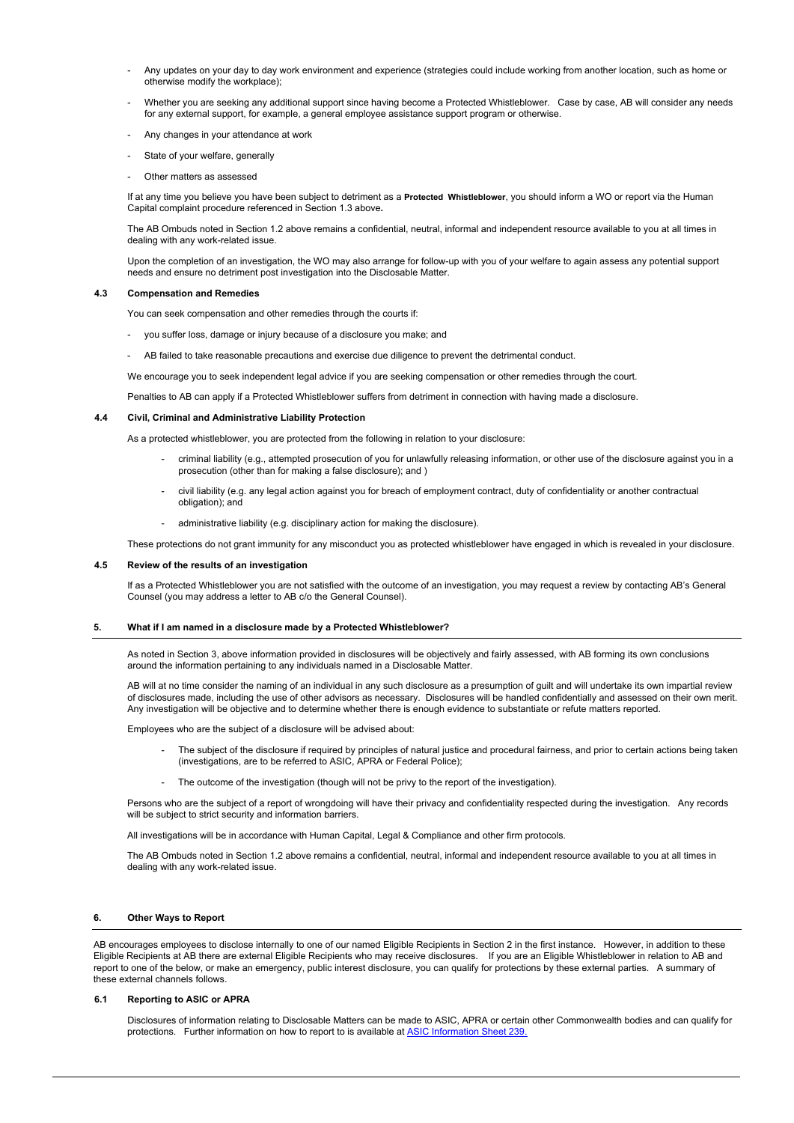- Any updates on your day to day work environment and experience (strategies could include working from another location, such as home or otherwise modify the workplace);
- Whether you are seeking any additional support since having become a Protected Whistleblower. Case by case, AB will consider any needs for any external support, for example, a general employee assistance support program or otherwise.
- Any changes in your attendance at work
- State of your welfare, generally
- Other matters as assessed

If at any time you believe you have been subject to detriment as a **Protected Whistleblower**, you should inform a WO or report via the Human Capital complaint procedure referenced in Section 1.3 above**.** 

The AB Ombuds noted in Section 1.2 above remains a confidential, neutral, informal and independent resource available to you at all times in dealing with any work-related issue.

- criminal liability (e.g., attempted prosecution of you for unlawfully releasing information, or other use of the disclosure against you in a prosecution (other than for making a false disclosure); and )
- civil liability (e.g. any legal action against you for breach of employment contract, duty of confidentiality or another contractual obligation); and
- administrative liability (e.g. disciplinary action for making the disclosure).

Upon the completion of an investigation, the WO may also arrange for follow-up with you of your welfare to again assess any potential support needs and ensure no detriment post investigation into the Disclosable Matter.

## **4.3 Compensation and Remedies**

You can seek compensation and other remedies through the courts if:

- you suffer loss, damage or injury because of a disclosure you make; and
- AB failed to take reasonable precautions and exercise due diligence to prevent the detrimental conduct.

We encourage you to seek independent legal advice if you are seeking compensation or other remedies through the court.

Penalties to AB can apply if a Protected Whistleblower suffers from detriment in connection with having made a disclosure.

## **4.4 Civil, Criminal and Administrative Liability Protection**

As a protected whistleblower, you are protected from the following in relation to your disclosure:

Persons who are the subject of a report of wrongdoing will have their privacy and confidentiality respected during the investigation. Any records will be subject to strict security and information barriers.

These protections do not grant immunity for any misconduct you as protected whistleblower have engaged in which is revealed in your disclosure.

AB encourages employees to disclose internally to one of our named Eligible Recipients in Section 2 in the first instance. However, in addition to these Eligible Recipients at AB there are external Eligible Recipients who may receive disclosures. If you are an Eligible Whistleblower in relation to AB and report to one of the below, or make an emergency, public interest disclosure, you can qualify for protections by these external parties. A summary of these external channels follows.

## **4.5 Review of the results of an investigation**

If as a Protected Whistleblower you are not satisfied with the outcome of an investigation, you may request a review by contacting AB's General Counsel (you may address a letter to AB c/o the General Counsel).

## **5. What if I am named in a disclosure made by a Protected Whistleblower?**

As noted in Section 3, above information provided in disclosures will be objectively and fairly assessed, with AB forming its own conclusions around the information pertaining to any individuals named in a Disclosable Matter.

AB will at no time consider the naming of an individual in any such disclosure as a presumption of guilt and will undertake its own impartial review of disclosures made, including the use of other advisors as necessary. Disclosures will be handled confidentially and assessed on their own merit. Any investigation will be objective and to determine whether there is enough evidence to substantiate or refute matters reported.

Employees who are the subject of a disclosure will be advised about:

- The subject of the disclosure if required by principles of natural justice and procedural fairness, and prior to certain actions being taken (investigations, are to be referred to ASIC, APRA or Federal Police);
- The outcome of the investigation (though will not be privy to the report of the investigation).

All investigations will be in accordance with Human Capital, Legal & Compliance and other firm protocols.

The AB Ombuds noted in Section 1.2 above remains a confidential, neutral, informal and independent resource available to you at all times in dealing with any work-related issue.

## **6. Other Ways to Report**

## **6.1 Reporting to ASIC or APRA**

Disclosures of information relating to Disclosable Matters can be made to ASIC, APRA or certain other Commonwealth bodies and can qualify for protections. Further information on how to report to is available at [ASIC Information](https://asic.gov.au/about-asic/asic-investigations-and-enforcement/whistleblowing/how-asic-handles-whistleblower-reports/) Sheet 239.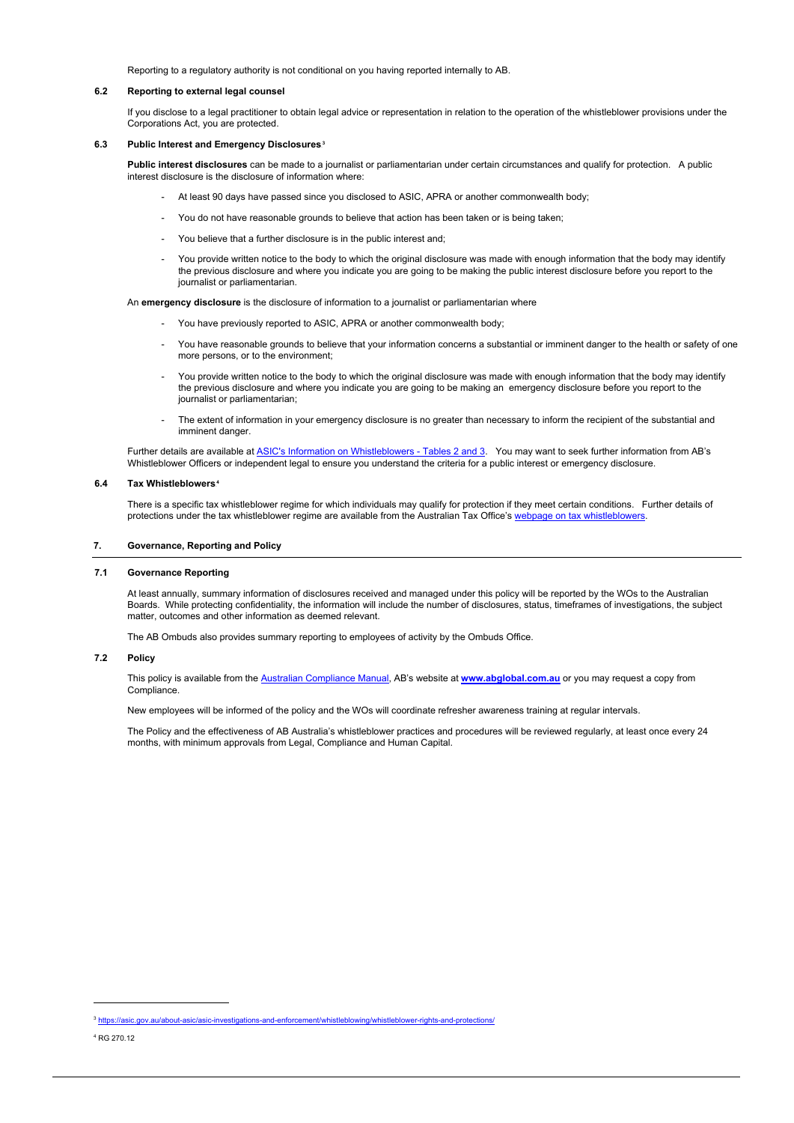Reporting to a regulatory authority is not conditional on you having reported internally to AB.

## **6.2 Reporting to external legal counsel**

If you disclose to a legal practitioner to obtain legal advice or representation in relation to the operation of the whistleblower provisions under the Corporations Act, you are protected.

## **6.3 Public Interest and Emergency Disclosures**2F **3**

**Public interest disclosures** can be made to a journalist or parliamentarian under certain circumstances and qualify for protection. A public interest disclosure is the disclosure of information where:

- At least 90 days have passed since you disclosed to ASIC, APRA or another commonwealth body;
- You do not have reasonable grounds to believe that action has been taken or is being taken;
- You believe that a further disclosure is in the public interest and;
- You provide written notice to the body to which the original disclosure was made with enough information that the body may identify the previous disclosure and where you indicate you are going to be making the public interest disclosure before you report to the journalist or parliamentarian.

Further details are available at [ASIC's Information on Whistleblowers -](https://asic.gov.au/about-asic/asic-investigations-and-enforcement/whistleblowing/whistleblower-rights-and-protections/) Tables 2 and 3. You may want to seek further information from AB's Whistleblower Officers or independent legal to ensure you understand the criteria for a public interest or emergency disclosure.

An **emergency disclosure** is the disclosure of information to a journalist or parliamentarian where

- You have previously reported to ASIC, APRA or another commonwealth body;
- You have reasonable grounds to believe that your information concerns a substantial or imminent danger to the health or safety of one more persons, or to the environment;
- You provide written notice to the body to which the original disclosure was made with enough information that the body may identify the previous disclosure and where you indicate you are going to be making an emergency disclosure before you report to the journalist or parliamentarian;
- The extent of information in your emergency disclosure is no greater than necessary to inform the recipient of the substantial and imminent danger.

## **6.4 Tax Whistleblowers**3F **4**

There is a specific tax whistleblower regime for which individuals may qualify for protection if they meet certain conditions. Further details of protections under the tax whistleblower regime are available from the Australian Tax Office's [webpage on tax whistleblowers.](https://www.ato.gov.au/general/gen/whistleblowers/)

## **7. Governance, Reporting and Policy**

#### **7.1 Governance Reporting**

At least annually, summary information of disclosures received and managed under this policy will be reported by the WOs to the Australian Boards. While protecting confidentiality, the information will include the number of disclosures, status, timeframes of investigations, the subject matter, outcomes and other information as deemed relevant.

The AB Ombuds also provides summary reporting to employees of activity by the Ombuds Office.

## **7.2 Policy**

This policy is available from the [Australian Compliance Manual,](https://sharepoint.alliancebernstein.com/lc/Compliance/Regions/ABNZ/_layouts/15/start.aspx#/AustraliaNZ%20Compliance%20Manual/Forms/AllItems.aspx) AB's website at **[www.abglobal.com.au](http://www.abglobal.com.au/)** or you may request a copy from Compliance.

New employees will be informed of the policy and the WOs will coordinate refresher awareness training at regular intervals.

The Policy and the effectiveness of AB Australia's whistleblower practices and procedures will be reviewed regularly, at least once every 24 months, with minimum approvals from Legal, Compliance and Human Capital.

<sup>4</sup> RG 270.12

<sup>3</sup> <https://asic.gov.au/about-asic/asic-investigations-and-enforcement/whistleblowing/whistleblower-rights-and-protections/>